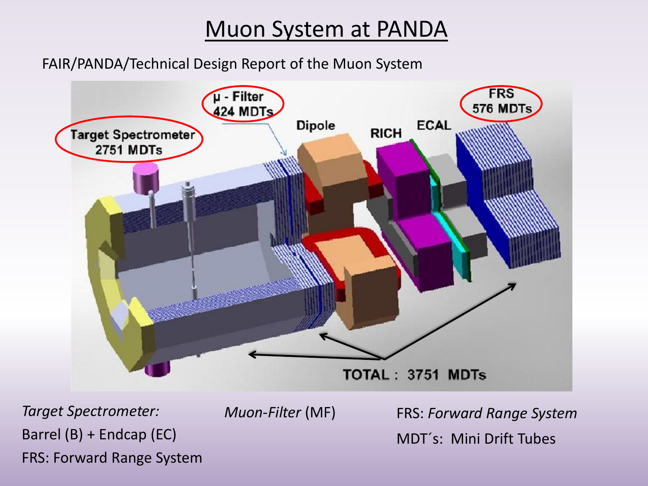## Muon System at PANDA

FAIR/PANDA/Technical Design Report of the Muon System



*Target Spectrometer:*  Barrel (B) + Endcap (EC) FRS: Forward Range System *Muon-Filter* (MF)

FRS: *Forward Range System* MDT´s: Mini Drift Tubes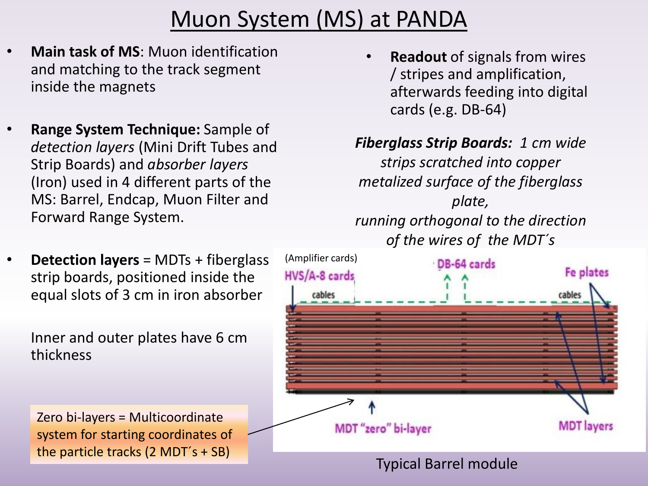## Muon System (MS) at PANDA

- **Main task of MS**: Muon identification and matching to the track segment inside the magnets
- **Range System Technique:** Sample of *detection layers* (Mini Drift Tubes and Strip Boards) and *absorber layers* (Iron) used in 4 different parts of the MS: Barrel, Endcap, Muon Filter and Forward Range System.
- **Detection layers** = MDTs + fiberglass strip boards, positioned inside the equal slots of 3 cm in iron absorber

Inner and outer plates have 6 cm thickness

Zero bi-layers = Multicoordinate system for starting coordinates of the particle tracks (2 MDT´s + SB)

• **Readout** of signals from wires / stripes and amplification, afterwards feeding into digital cards (e.g. DB-64)

#### *Fiberglass Strip Boards: 1 cm wide*

*strips scratched into copper metalized surface of the fiberglass plate, running orthogonal to the direction of the wires of the MDT´s*

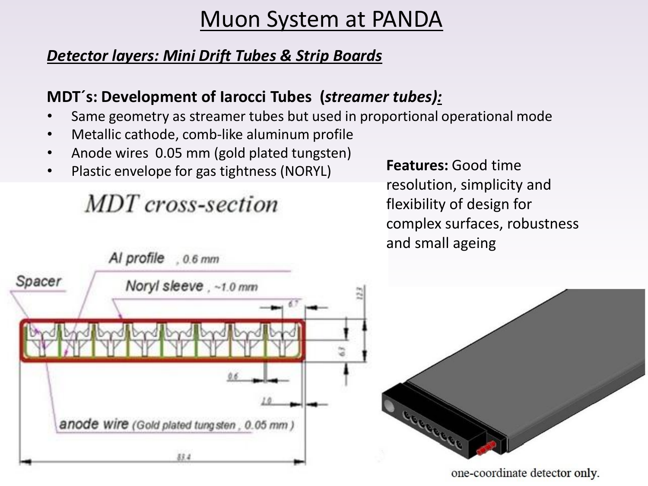## Muon System at PANDA

#### *Detector layers: Mini Drift Tubes & Strip Boards*

#### **MDT´s: Development of Iarocci Tubes (***streamer tubes):*

- Same geometry as streamer tubes but used in proportional operational mode
- Metallic cathode, comb-like aluminum profile
- Anode wires 0.05 mm (gold plated tungsten)
- Plastic envelope for gas tightness (NORYL)

MDT cross-section

**Features:** Good time resolution, simplicity and flexibility of design for complex surfaces, robustness and small ageing

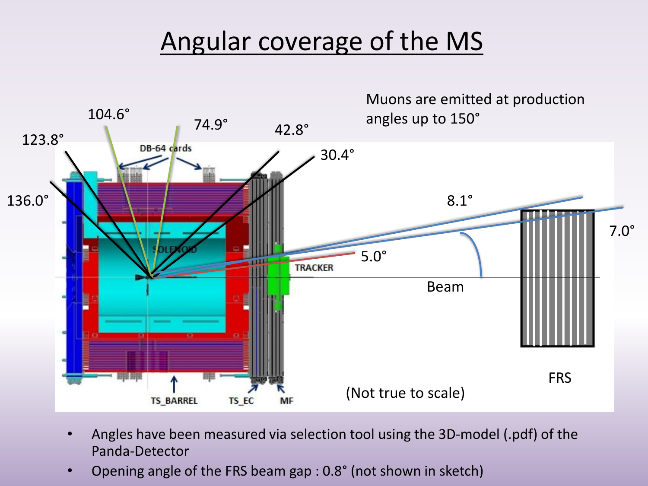## Angular coverage of the MS



- Angles have been measured via selection tool using the 3D-model (.pdf) of the Panda-Detector
- Opening angle of the FRS beam gap : 0.8° (not shown in sketch)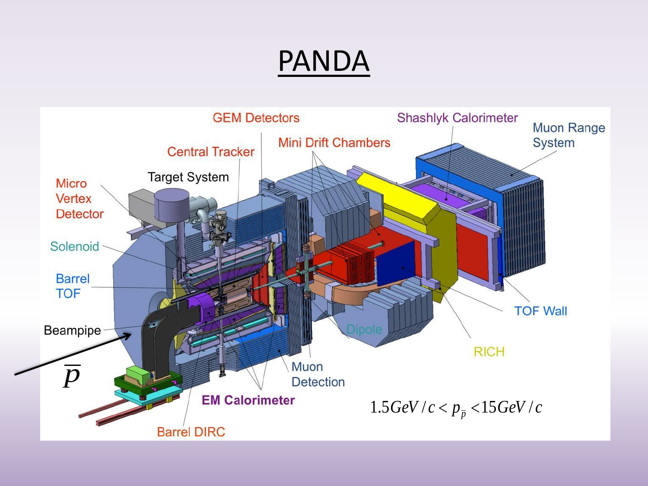# PANDA